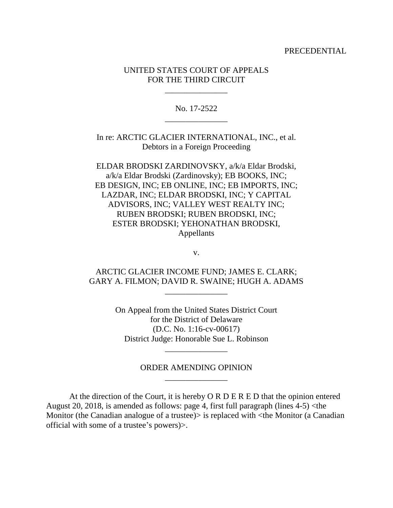PRECEDENTIAL

## UNITED STATES COURT OF APPEALS FOR THE THIRD CIRCUIT

\_\_\_\_\_\_\_\_\_\_\_\_\_\_\_

No. 17-2522 \_\_\_\_\_\_\_\_\_\_\_\_\_\_\_

In re: ARCTIC GLACIER INTERNATIONAL, INC., et al. Debtors in a Foreign Proceeding

ELDAR BRODSKI ZARDINOVSKY, a/k/a Eldar Brodski, a/k/a Eldar Brodski (Zardinovsky); EB BOOKS, INC; EB DESIGN, INC; EB ONLINE, INC; EB IMPORTS, INC; LAZDAR, INC; ELDAR BRODSKI, INC; Y CAPITAL ADVISORS, INC; VALLEY WEST REALTY INC; RUBEN BRODSKI; RUBEN BRODSKI, INC; ESTER BRODSKI; YEHONATHAN BRODSKI, Appellants

v.

ARCTIC GLACIER INCOME FUND; JAMES E. CLARK; GARY A. FILMON; DAVID R. SWAINE; HUGH A. ADAMS

\_\_\_\_\_\_\_\_\_\_\_\_\_\_\_

On Appeal from the United States District Court for the District of Delaware (D.C. No. 1:16-cv-00617) District Judge: Honorable Sue L. Robinson

## ORDER AMENDING OPINION \_\_\_\_\_\_\_\_\_\_\_\_\_\_\_

\_\_\_\_\_\_\_\_\_\_\_\_\_\_\_

At the direction of the Court, it is hereby O R D E R E D that the opinion entered August 20, 2018, is amended as follows: page 4, first full paragraph (lines 4-5) <the Monitor (the Canadian analogue of a trustee) is replaced with  $\lt$ the Monitor (a Canadian official with some of a trustee's powers)>.